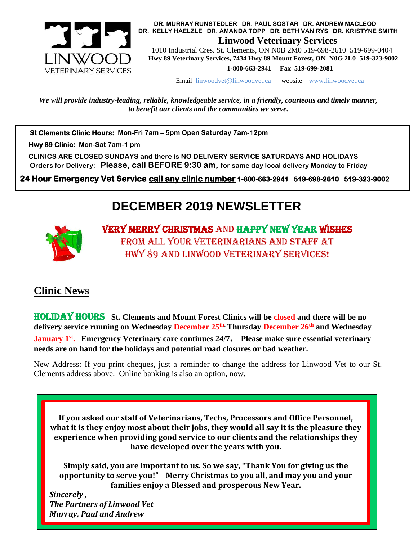

 **DR. MURRAY RUNSTEDLER DR. PAUL SOSTAR DR. ANDREW MACLEOD DR. KELLY HAELZLE DR. AMANDA TOPP DR. BETH VAN RYS DR. KRISTYNE SMITH Linwood Veterinary Services**

 1010 Industrial Cres. St. Clements, ON N0B 2M0 519-698-2610 519-699-0404  **Hwy 89 Veterinary Services, 7434 Hwy 89 Mount Forest, ON N0G 2L0 519-323-9002 1-800-663-2941 Fax 519-699-2081**

Email [linwoodvet@linwoodvet.ca](mailto:linwoodvet@linwoodvet.ca) website www.linwoodvet.ca

*We will provide industry-leading, reliable, knowledgeable service, in a friendly, courteous and timely manner, to benefit our clients and the communities we serve.*

 **St Clements Clinic Hours: Mon-Fri 7am – 5pm Open Saturday 7am-12pm**

 **Hwy 89 Clinic: Mon-Sat 7am-1 pm**

 **CLINICS ARE CLOSED SUNDAYS and there is NO DELIVERY SERVICE SATURDAYS AND HOLIDAYS Orders for Delivery: Please, call BEFORE 9:30 am, for same day local delivery Monday to Friday** 

 **24 Hour Emergency Vet Service call any clinic number 1-800-663-2941 519-698-2610 519-323-9002**

## **DECEMBER 2019 NEWSLETTER**



Very Merry Christmas and Happy New Year wishes from all your veterinarians and staff at Hwy 89 and Linwood Veterinary Services!

## **Clinic News**

Holiday hours **St. Clements and Mount Forest Clinics will be closed and there will be no delivery service running on Wednesday December 25th, Thursday December 26th and Wednesday** 

**January 1st . Emergency Veterinary care continues 24/7. Please make sure essential veterinary needs are on hand for the holidays and potential road closures or bad weather.**

New Address: If you print cheques, just a reminder to change the address for Linwood Vet to our St. Clements address above. Online banking is also an option, now.

**If you asked our staff of Veterinarians, Techs, Processors and Office Personnel, what it is they enjoy most about their jobs, they would all say it is the pleasure they experience when providing good service to our clients and the relationships they have developed over the years with you.**

**Simply said, you are important to us. So we say, "Thank You for giving us the opportunity to serve you!" Merry Christmas to you all, and may you and your families enjoy a Blessed and prosperous New Year.** 

*Sincerely , The Partners of Linwood Vet Murray, Paul and Andrew*